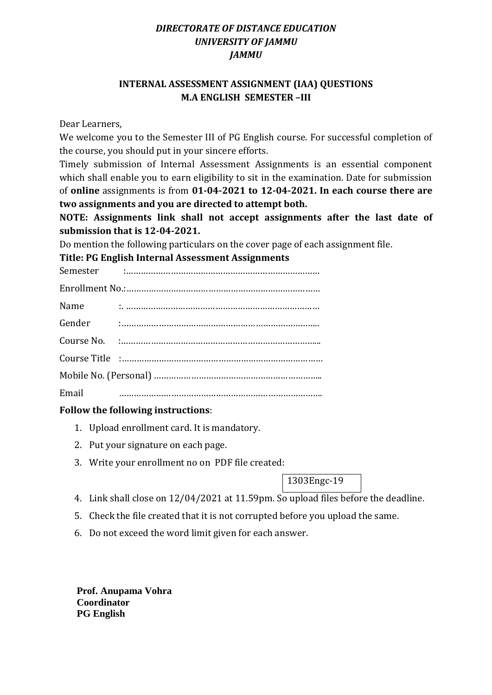# *DIRECTORATE OF DISTANCE EDUCATION UNIVERSITY OF JAMMU JAMMU*

# **INTERNAL ASSESSMENT ASSIGNMENT (IAA) QUESTIONS M.A ENGLISH SEMESTER –III**

Dear Learners,

We welcome you to the Semester III of PG English course. For successful completion of the course, you should put in your sincere efforts.

Timely submission of Internal Assessment Assignments is an essential component which shall enable you to earn eligibility to sit in the examination. Date for submission of **online** assignments is from **01-04-2021 to 12-04-2021. In each course there are two assignments and you are directed to attempt both.** 

**NOTE: Assignments link shall not accept assignments after the last date of submission that is 12-04-2021.**

Do mention the following particulars on the cover page of each assignment file.

**Title: PG English Internal Assessment Assignments** 

Semester :……………………………………………………………………

| Name   |  |
|--------|--|
| Gender |  |
|        |  |
|        |  |
|        |  |
| Email  |  |

# **Follow the following instructions**:

- 1. Upload enrollment card. It is mandatory.
- 2. Put your signature on each page.
- 3. Write your enrollment no on PDF file created:

1303Engc-19

- 4. Link shall close on 12/04/2021 at 11.59pm. So upload files before the deadline.
- 5. Check the file created that it is not corrupted before you upload the same.
- 6. Do not exceed the word limit given for each answer.

 **Prof. Anupama Vohra Coordinator PG English**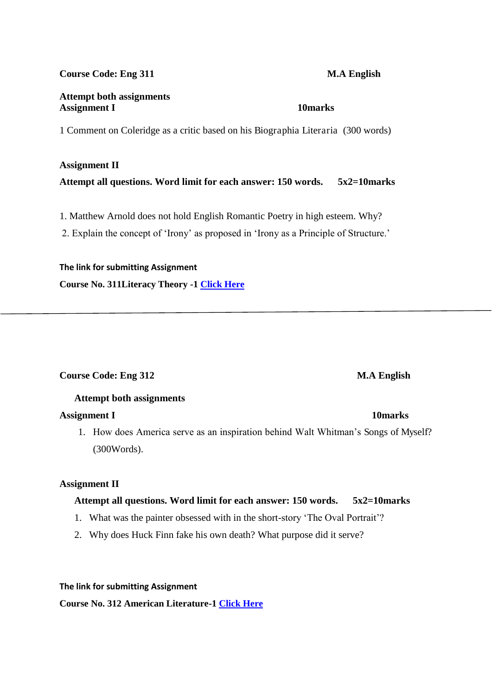### **Course Code: Eng 311 M.A English**

### **Attempt both assignments**  Assignment I **10marks**

1 Comment on Coleridge as a critic based on his Biographia Literaria (300 words)

#### **Assignment II**

**Attempt all questions. Word limit for each answer: 150 words. 5x2=10marks** 

1. Matthew Arnold does not hold English Romantic Poetry in high esteem. Why?

2. Explain the concept of 'Irony' as proposed in 'Irony as a Principle of Structure.'

### **The link for submitting Assignment**

**Course No. 311Literacy Theory -1 [Click Here](https://forms.gle/pV6qr5f3e8cB1xih8)**

# **Course Code: Eng 312** M.A English

# **Attempt both assignments**

### **Assignment I 10marks**

1. How does America serve as an inspiration behind Walt Whitman"s Songs of Myself? (300Words).

### **Assignment II**

# **Attempt all questions. Word limit for each answer: 150 words. 5x2=10marks**

- 1. What was the painter obsessed with in the short-story "The Oval Portrait"?
- 2. Why does Huck Finn fake his own death? What purpose did it serve?

#### **The link for submitting Assignment**

**Course No. 312 American Literature-1 [Click Here](https://forms.gle/SJrJu4w7ygBt4tdz6)**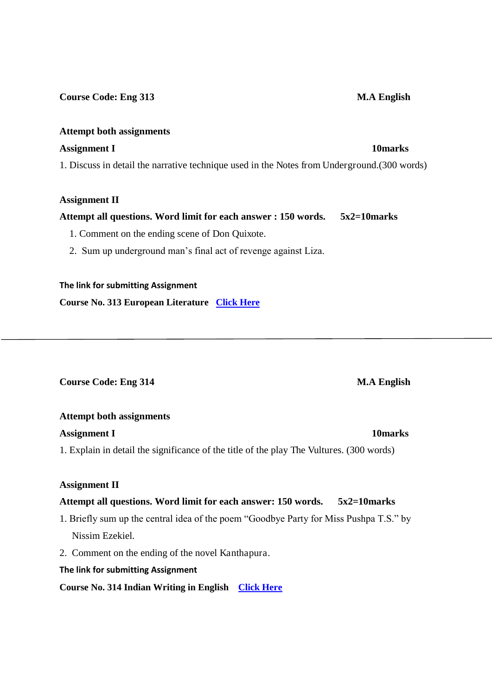### **Course Code: Eng 313** M.A English

### **Attempt both assignments**

### **Assignment I** 10 marks **10marks**

1. Discuss in detail the narrative technique used in the Notes from Underground.(300 words)

### **Assignment II**

# **Attempt all questions. Word limit for each answer : 150 words. 5x2=10marks**

1. Comment on the ending scene of Don Quixote.

2. Sum up underground man"s final act of revenge against Liza.

## **The link for submitting Assignment**

**Course No. 313 European Literature [Click Here](https://forms.gle/gnggTGLR6LBuvM3s6)**

**Course Code: Eng 314** M.A English

### **Attempt both assignments**

### **Assignment I 10marks**

1. Explain in detail the significance of the title of the play The Vultures. (300 words)

# **Assignment II**

# **Attempt all questions. Word limit for each answer: 150 words. 5x2=10marks**

- 1. Briefly sum up the central idea of the poem "Goodbye Party for Miss Pushpa T.S." by Nissim Ezekiel.
- 2. Comment on the ending of the novel Kanthapura.

# **The link for submitting Assignment**

**Course No. 314 Indian Writing in English [Click Here](https://forms.gle/rZh3T5AQFavY3TsD7)**